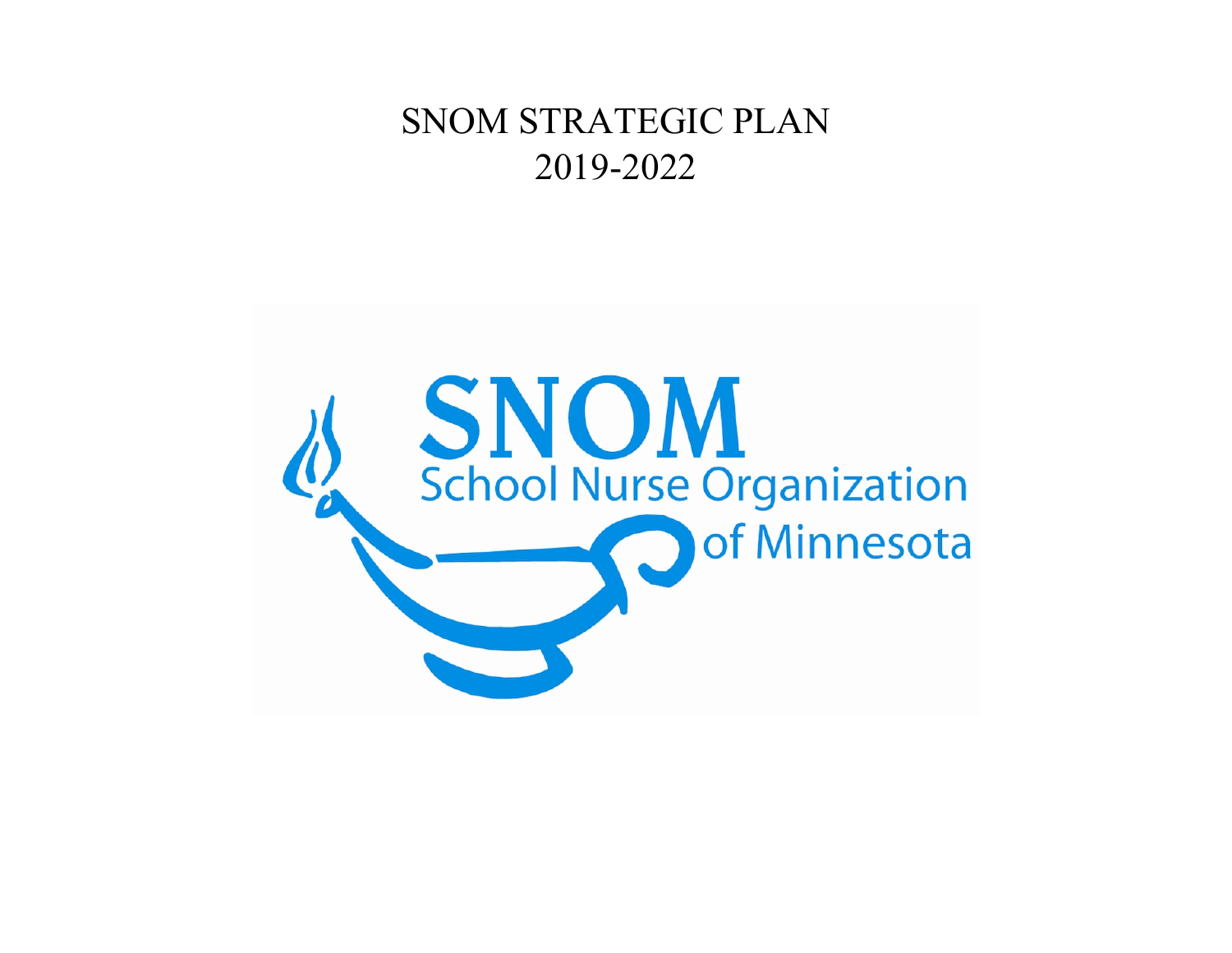# SNOM STRATEGIC PLAN 2019-2022

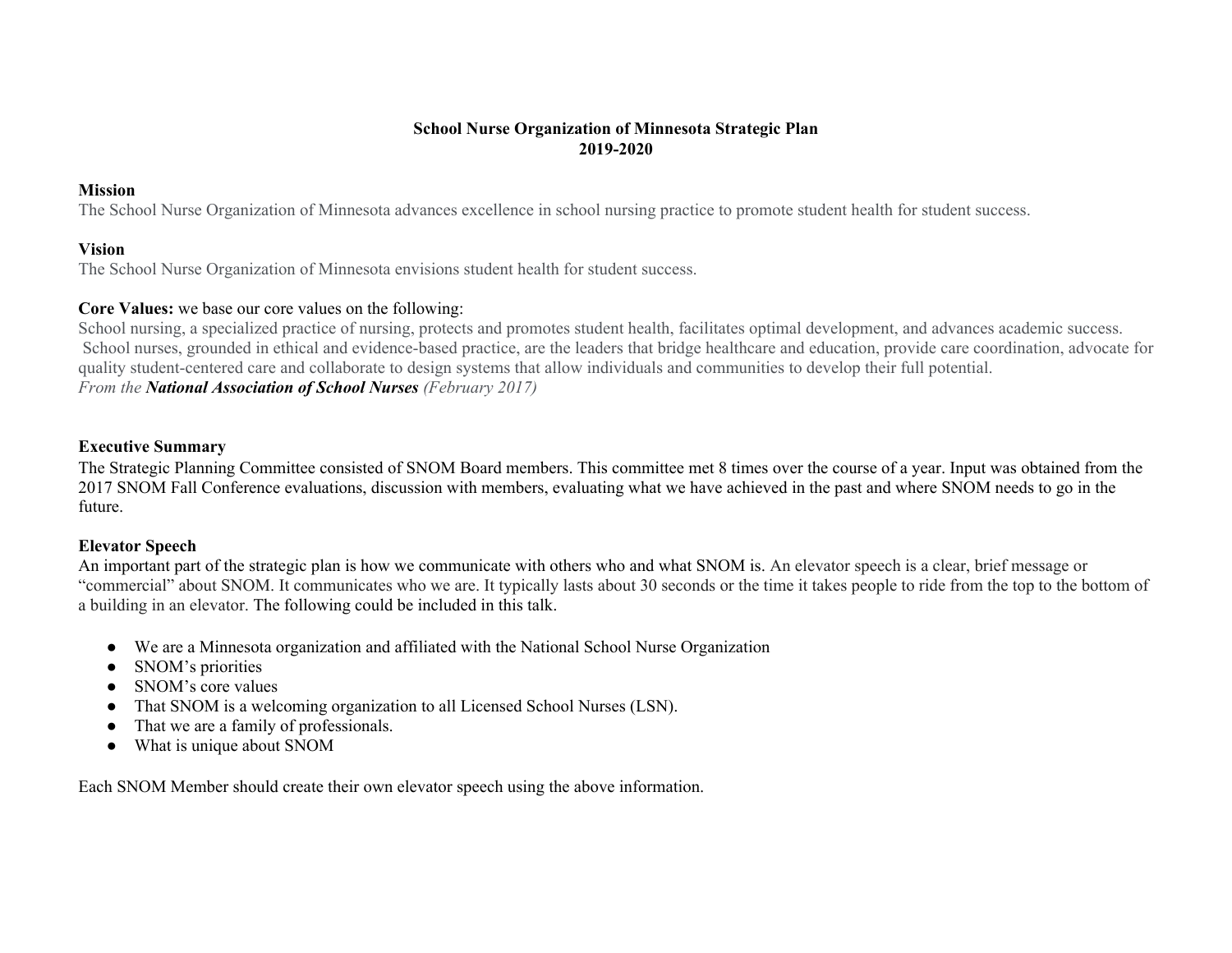# **School Nurse Organization of Minnesota Strategic Plan 2019-2020**

### **Mission**

The School Nurse Organization of Minnesota advances excellence in school nursing practice to promote student health for student success.

### **Vision**

The School Nurse Organization of Minnesota envisions student health for student success.

## **Core Values:** we base our core values on the following:

School nursing, a specialized practice of nursing, protects and promotes student health, facilitates optimal development, and advances academic success. School nurses, grounded in ethical and evidence-based practice, are the leaders that bridge healthcare and education, provide care coordination, advocate for quality student-centered care and collaborate to design systems that allow individuals and communities to develop their full potential. *From the National Association of School Nurses (February 2017)*

### **Executive Summary**

The Strategic Planning Committee consisted of SNOM Board members. This committee met 8 times over the course of a year. Input was obtained from the 2017 SNOM Fall Conference evaluations, discussion with members, evaluating what we have achieved in the past and where SNOM needs to go in the future.

### **Elevator Speech**

An important part of the strategic plan is how we communicate with others who and what SNOM is. An elevator speech is a clear, brief message or "commercial" about SNOM. It communicates who we are. It typically lasts about 30 seconds or the time it takes people to ride from the top to the bottom of a building in an elevator. The following could be included in this talk.

- We are a Minnesota organization and affiliated with the National School Nurse Organization
- SNOM's priorities
- SNOM's core values
- That SNOM is a welcoming organization to all Licensed School Nurses (LSN).
- That we are a family of professionals.
- What is unique about SNOM

Each SNOM Member should create their own elevator speech using the above information.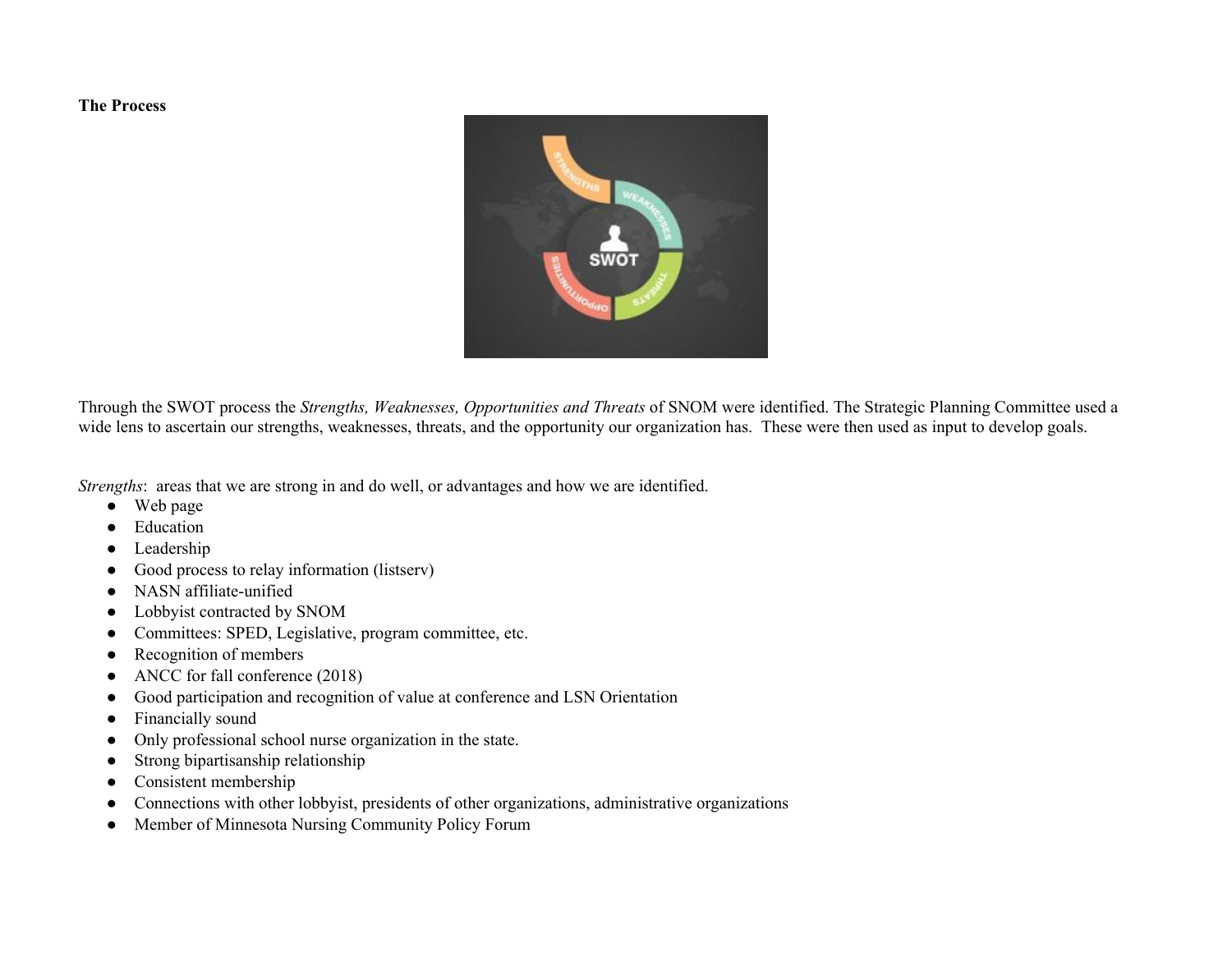#### **The Process**



Through the SWOT process the *Strengths, Weaknesses, Opportunities and Threats* of SNOM were identified. The Strategic Planning Committee used a wide lens to ascertain our strengths, weaknesses, threats, and the opportunity our organization has. These were then used as input to develop goals.

*Strengths*: areas that we are strong in and do well, or advantages and how we are identified.

- Web page
- Education
- Leadership
- Good process to relay information (listserv)
- NASN affiliate-unified
- Lobbyist contracted by SNOM
- Committees: SPED, Legislative, program committee, etc.
- Recognition of members
- ANCC for fall conference (2018)
- Good participation and recognition of value at conference and LSN Orientation
- Financially sound
- Only professional school nurse organization in the state.
- Strong bipartisanship relationship
- Consistent membership
- Connections with other lobbyist, presidents of other organizations, administrative organizations
- Member of Minnesota Nursing Community Policy Forum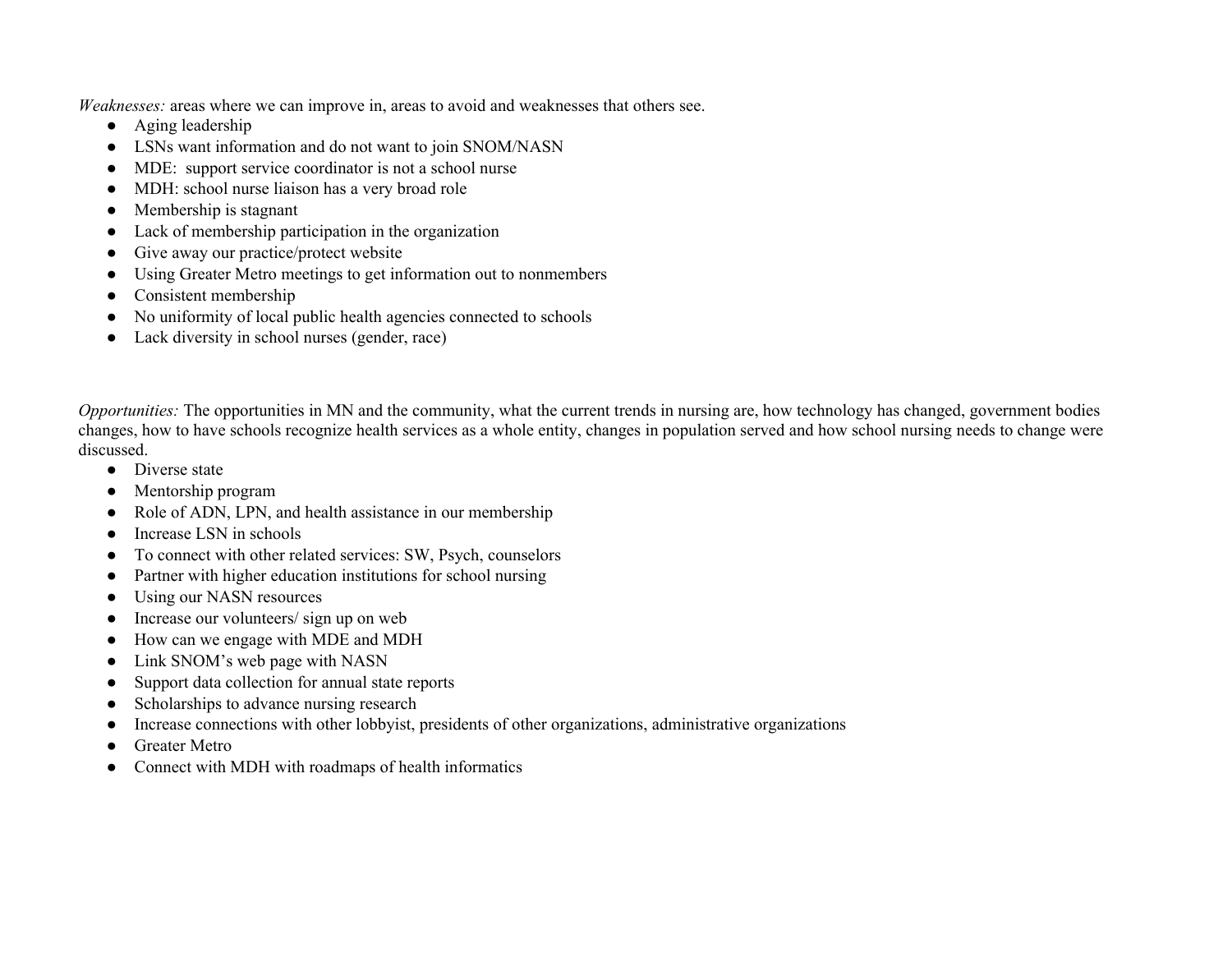*Weaknesses:* areas where we can improve in, areas to avoid and weaknesses that others see.

- Aging leadership
- LSNs want information and do not want to join SNOM/NASN
- MDE: support service coordinator is not a school nurse
- MDH: school nurse liaison has a very broad role
- Membership is stagnant
- Lack of membership participation in the organization
- Give away our practice/protect website
- Using Greater Metro meetings to get information out to nonmembers
- Consistent membership
- No uniformity of local public health agencies connected to schools
- Lack diversity in school nurses (gender, race)

*Opportunities:* The opportunities in MN and the community, what the current trends in nursing are, how technology has changed, government bodies changes, how to have schools recognize health services as a whole entity, changes in population served and how school nursing needs to change were discussed.

- Diverse state
- Mentorship program
- Role of ADN, LPN, and health assistance in our membership
- Increase LSN in schools
- To connect with other related services: SW, Psych, counselors
- Partner with higher education institutions for school nursing
- Using our NASN resources
- Increase our volunteers/ sign up on web
- How can we engage with MDE and MDH
- Link SNOM's web page with NASN
- Support data collection for annual state reports
- Scholarships to advance nursing research
- Increase connections with other lobbyist, presidents of other organizations, administrative organizations
- Greater Metro
- Connect with MDH with roadmaps of health informatics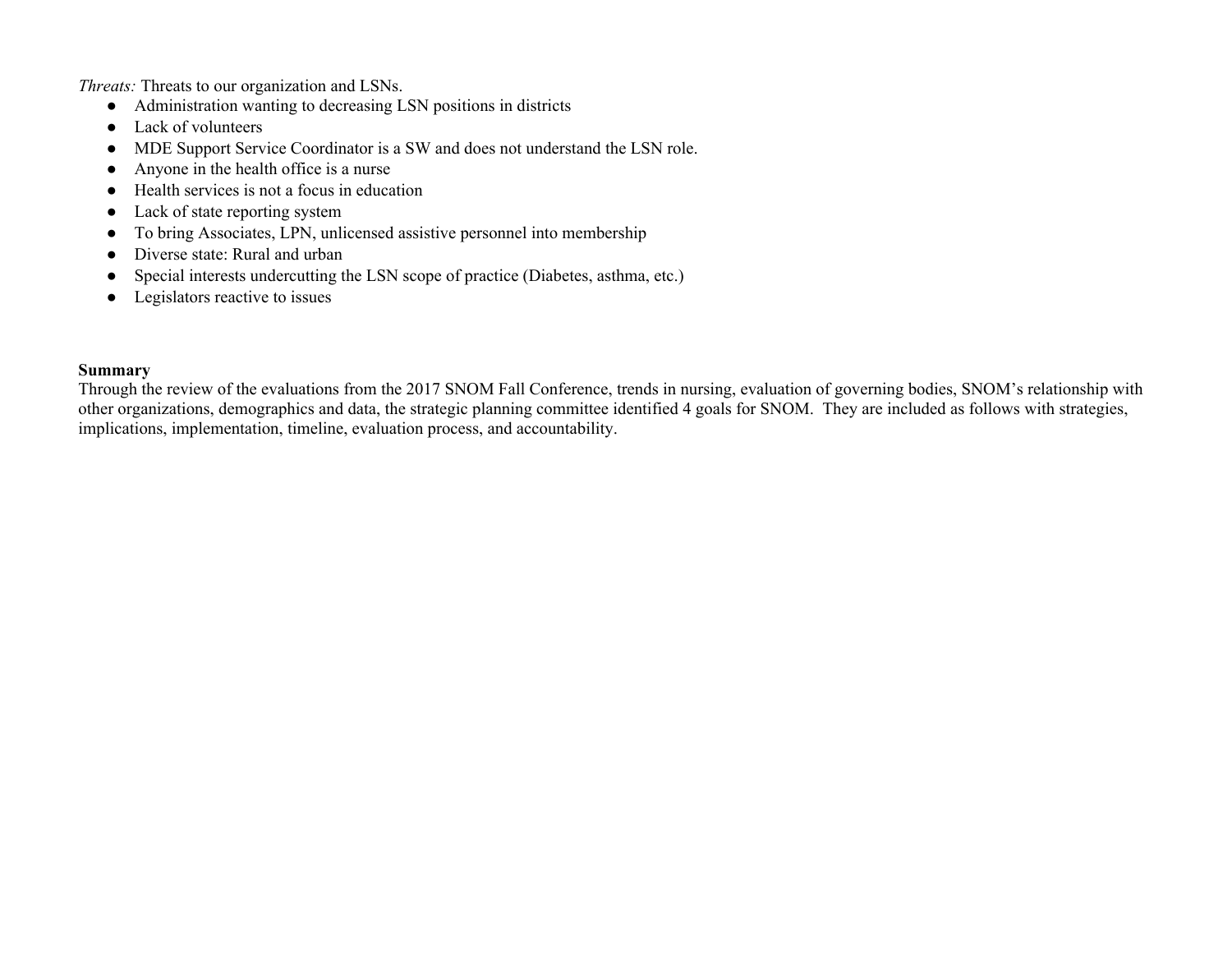*Threats:* Threats to our organization and LSNs.

- Administration wanting to decreasing LSN positions in districts
- Lack of volunteers
- MDE Support Service Coordinator is a SW and does not understand the LSN role.
- Anyone in the health office is a nurse
- Health services is not a focus in education
- Lack of state reporting system
- To bring Associates, LPN, unlicensed assistive personnel into membership
- Diverse state: Rural and urban
- Special interests undercutting the LSN scope of practice (Diabetes, asthma, etc.)
- Legislators reactive to issues

# **Summary**

Through the review of the evaluations from the 2017 SNOM Fall Conference, trends in nursing, evaluation of governing bodies, SNOM's relationship with other organizations, demographics and data, the strategic planning committee identified 4 goals for SNOM. They are included as follows with strategies, implications, implementation, timeline, evaluation process, and accountability.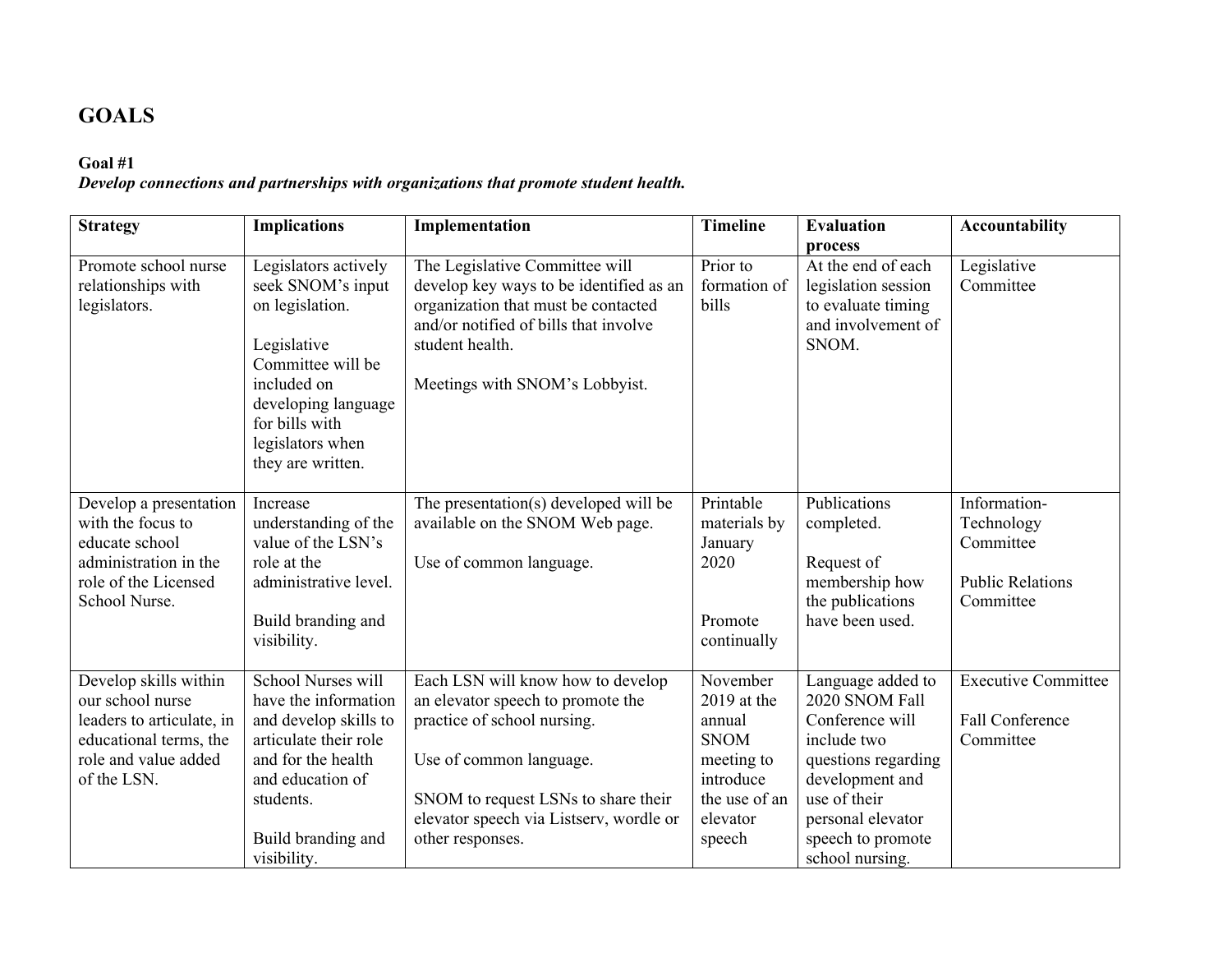# **GOALS**

# **Goal #1**

*Develop connections and partnerships with organizations that promote student health.*

| <b>Strategy</b>                                                                                                                         | <b>Implications</b>                                                                                                                                                                               | Implementation                                                                                                                                                                                                                         | <b>Timeline</b>                                                                                                      | <b>Evaluation</b><br>process                                                                                                                                                                 | <b>Accountability</b>                                                           |
|-----------------------------------------------------------------------------------------------------------------------------------------|---------------------------------------------------------------------------------------------------------------------------------------------------------------------------------------------------|----------------------------------------------------------------------------------------------------------------------------------------------------------------------------------------------------------------------------------------|----------------------------------------------------------------------------------------------------------------------|----------------------------------------------------------------------------------------------------------------------------------------------------------------------------------------------|---------------------------------------------------------------------------------|
| Promote school nurse<br>relationships with<br>legislators.                                                                              | Legislators actively<br>seek SNOM's input<br>on legislation.<br>Legislative<br>Committee will be<br>included on<br>developing language<br>for bills with<br>legislators when<br>they are written. | The Legislative Committee will<br>develop key ways to be identified as an<br>organization that must be contacted<br>and/or notified of bills that involve<br>student health.<br>Meetings with SNOM's Lobbyist.                         | Prior to<br>formation of<br>bills                                                                                    | At the end of each<br>legislation session<br>to evaluate timing<br>and involvement of<br>SNOM.                                                                                               | Legislative<br>Committee                                                        |
| Develop a presentation<br>with the focus to<br>educate school<br>administration in the<br>role of the Licensed<br>School Nurse.         | Increase<br>understanding of the<br>value of the LSN's<br>role at the<br>administrative level.<br>Build branding and<br>visibility.                                                               | The presentation(s) developed will be<br>available on the SNOM Web page.<br>Use of common language.                                                                                                                                    | Printable<br>materials by<br>January<br>2020<br>Promote<br>continually                                               | Publications<br>completed.<br>Request of<br>membership how<br>the publications<br>have been used.                                                                                            | Information-<br>Technology<br>Committee<br><b>Public Relations</b><br>Committee |
| Develop skills within<br>our school nurse<br>leaders to articulate, in<br>educational terms, the<br>role and value added<br>of the LSN. | School Nurses will<br>have the information<br>and develop skills to<br>articulate their role<br>and for the health<br>and education of<br>students.<br>Build branding and<br>visibility.          | Each LSN will know how to develop<br>an elevator speech to promote the<br>practice of school nursing.<br>Use of common language.<br>SNOM to request LSNs to share their<br>elevator speech via Listserv, wordle or<br>other responses. | November<br>$2019$ at the<br>annual<br><b>SNOM</b><br>meeting to<br>introduce<br>the use of an<br>elevator<br>speech | Language added to<br>2020 SNOM Fall<br>Conference will<br>include two<br>questions regarding<br>development and<br>use of their<br>personal elevator<br>speech to promote<br>school nursing. | <b>Executive Committee</b><br><b>Fall Conference</b><br>Committee               |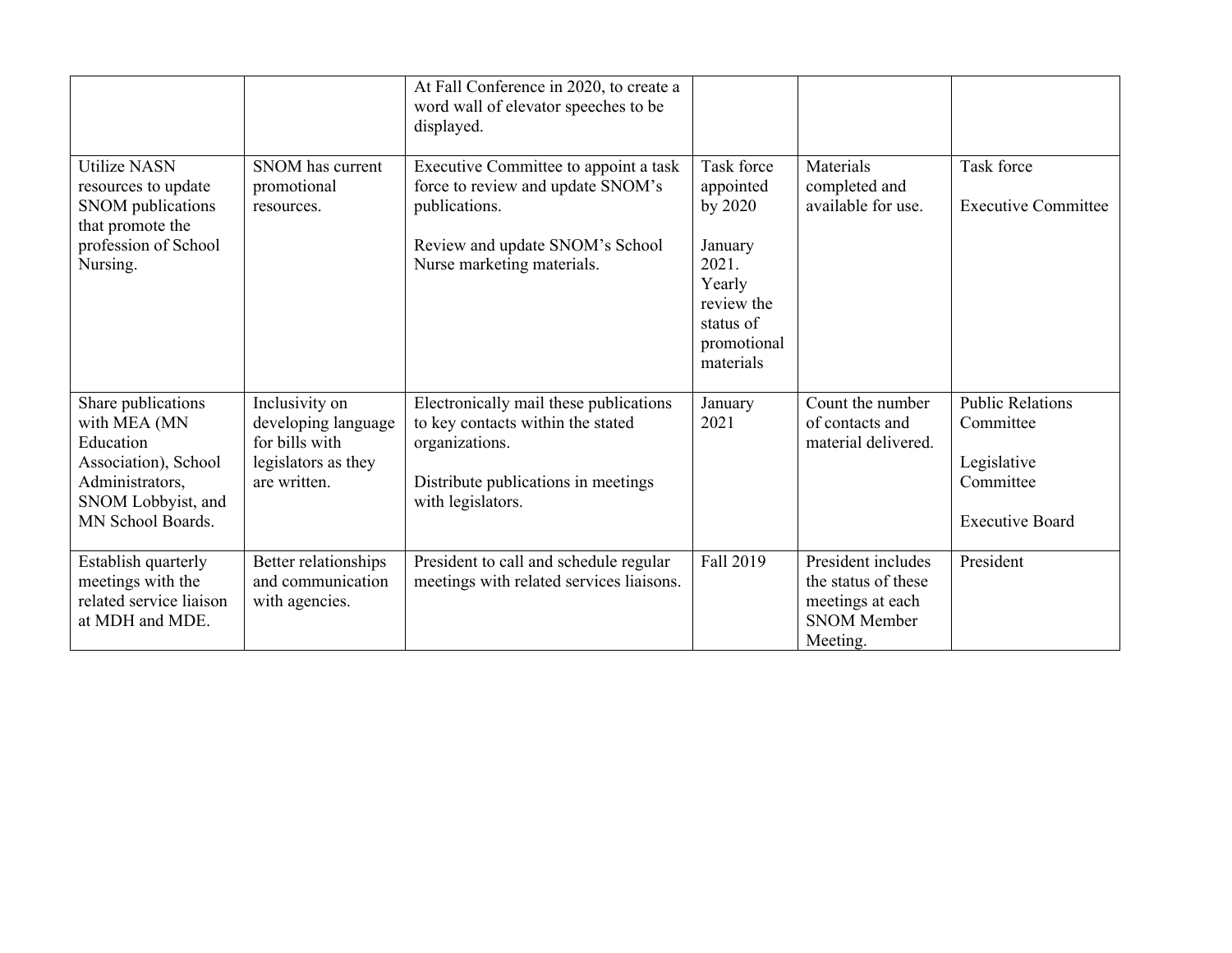|                                                                                                                                       |                                                                                                | At Fall Conference in 2020, to create a<br>word wall of elevator speeches to be<br>displayed.                                                                |                                                                                                                         |                                                                                                 |                                                                                            |
|---------------------------------------------------------------------------------------------------------------------------------------|------------------------------------------------------------------------------------------------|--------------------------------------------------------------------------------------------------------------------------------------------------------------|-------------------------------------------------------------------------------------------------------------------------|-------------------------------------------------------------------------------------------------|--------------------------------------------------------------------------------------------|
| <b>Utilize NASN</b><br>resources to update<br>SNOM publications<br>that promote the<br>profession of School<br>Nursing.               | SNOM has current<br>promotional<br>resources.                                                  | Executive Committee to appoint a task<br>force to review and update SNOM's<br>publications.<br>Review and update SNOM's School<br>Nurse marketing materials. | Task force<br>appointed<br>by 2020<br>January<br>2021.<br>Yearly<br>review the<br>status of<br>promotional<br>materials | Materials<br>completed and<br>available for use.                                                | Task force<br><b>Executive Committee</b>                                                   |
| Share publications<br>with MEA (MN<br>Education<br>Association), School<br>Administrators,<br>SNOM Lobbyist, and<br>MN School Boards. | Inclusivity on<br>developing language<br>for bills with<br>legislators as they<br>are written. | Electronically mail these publications<br>to key contacts within the stated<br>organizations.<br>Distribute publications in meetings<br>with legislators.    | January<br>2021                                                                                                         | Count the number<br>of contacts and<br>material delivered.                                      | <b>Public Relations</b><br>Committee<br>Legislative<br>Committee<br><b>Executive Board</b> |
| Establish quarterly<br>meetings with the<br>related service liaison<br>at MDH and MDE.                                                | Better relationships<br>and communication<br>with agencies.                                    | President to call and schedule regular<br>meetings with related services liaisons.                                                                           | Fall 2019                                                                                                               | President includes<br>the status of these<br>meetings at each<br><b>SNOM Member</b><br>Meeting. | President                                                                                  |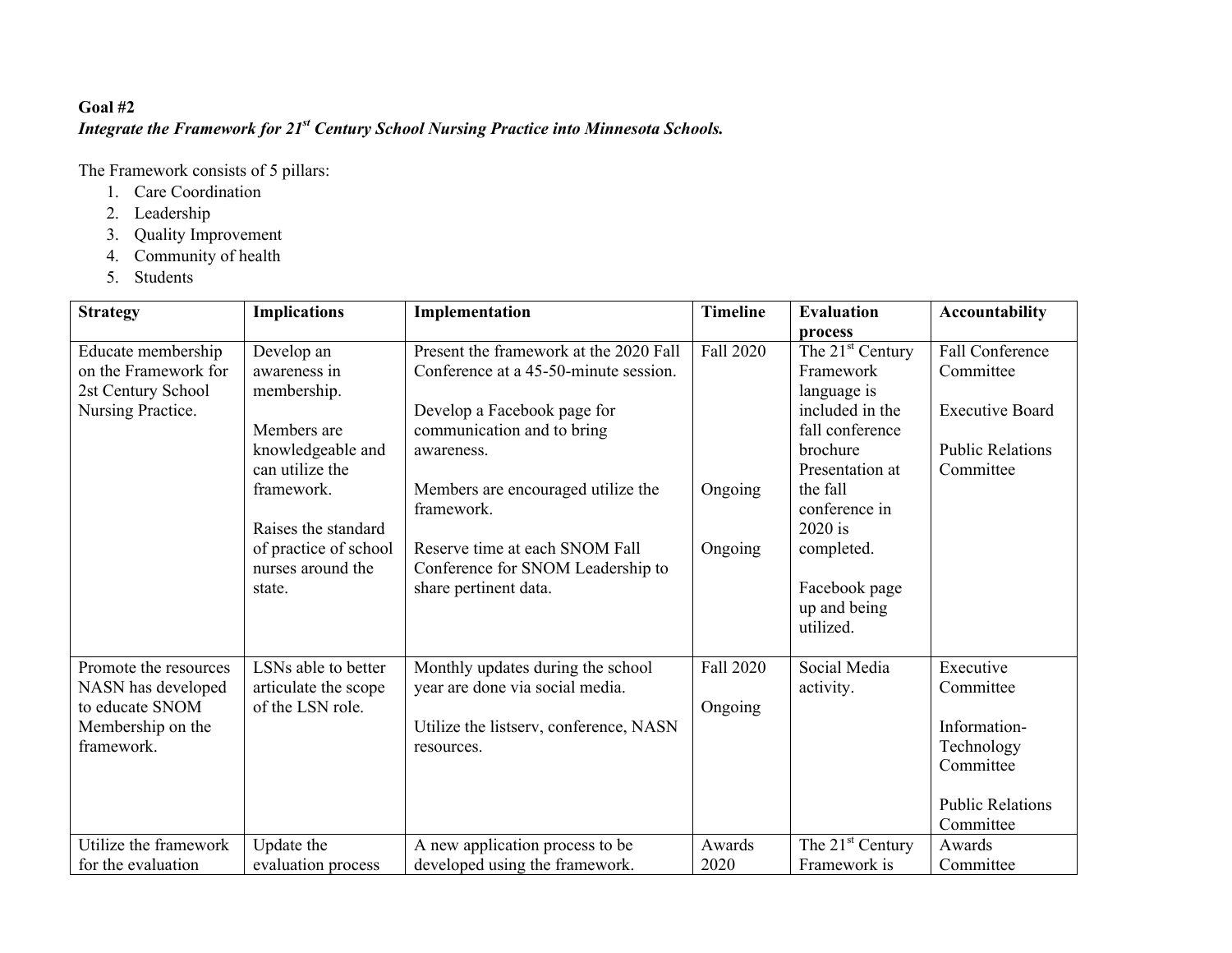# **Goal #2**

# *Integrate the Framework for 21st Century School Nursing Practice into Minnesota Schools.*

The Framework consists of 5 pillars:

- 1. Care Coordination
- 2. Leadership
- 3. Quality Improvement
- 4. Community of health
- 5. Students

| <b>Strategy</b>                                                                                   | <b>Implications</b>                                                                                                                                                                           | Implementation                                                                                                                                                                                                                                                                                                 | <b>Timeline</b>                        | <b>Evaluation</b>                                                                                                                                                                                                                            | Accountability                                                                                            |
|---------------------------------------------------------------------------------------------------|-----------------------------------------------------------------------------------------------------------------------------------------------------------------------------------------------|----------------------------------------------------------------------------------------------------------------------------------------------------------------------------------------------------------------------------------------------------------------------------------------------------------------|----------------------------------------|----------------------------------------------------------------------------------------------------------------------------------------------------------------------------------------------------------------------------------------------|-----------------------------------------------------------------------------------------------------------|
| Educate membership<br>on the Framework for<br>2st Century School<br>Nursing Practice.             | Develop an<br>awareness in<br>membership.<br>Members are<br>knowledgeable and<br>can utilize the<br>framework.<br>Raises the standard<br>of practice of school<br>nurses around the<br>state. | Present the framework at the 2020 Fall<br>Conference at a 45-50-minute session.<br>Develop a Facebook page for<br>communication and to bring<br>awareness.<br>Members are encouraged utilize the<br>framework.<br>Reserve time at each SNOM Fall<br>Conference for SNOM Leadership to<br>share pertinent data. | <b>Fall 2020</b><br>Ongoing<br>Ongoing | process<br>The 21 <sup>st</sup> Century<br>Framework<br>language is<br>included in the<br>fall conference<br>brochure<br>Presentation at<br>the fall<br>conference in<br>2020 is<br>completed.<br>Facebook page<br>up and being<br>utilized. | <b>Fall Conference</b><br>Committee<br><b>Executive Board</b><br><b>Public Relations</b><br>Committee     |
| Promote the resources<br>NASN has developed<br>to educate SNOM<br>Membership on the<br>framework. | LSNs able to better<br>articulate the scope<br>of the LSN role.                                                                                                                               | Monthly updates during the school<br>year are done via social media.<br>Utilize the listserv, conference, NASN<br>resources.                                                                                                                                                                                   | <b>Fall 2020</b><br>Ongoing            | Social Media<br>activity.                                                                                                                                                                                                                    | Executive<br>Committee<br>Information-<br>Technology<br>Committee<br><b>Public Relations</b><br>Committee |
| Utilize the framework<br>for the evaluation                                                       | Update the<br>evaluation process                                                                                                                                                              | A new application process to be<br>developed using the framework.                                                                                                                                                                                                                                              | Awards<br>2020                         | The $21st$ Century<br>Framework is                                                                                                                                                                                                           | Awards<br>Committee                                                                                       |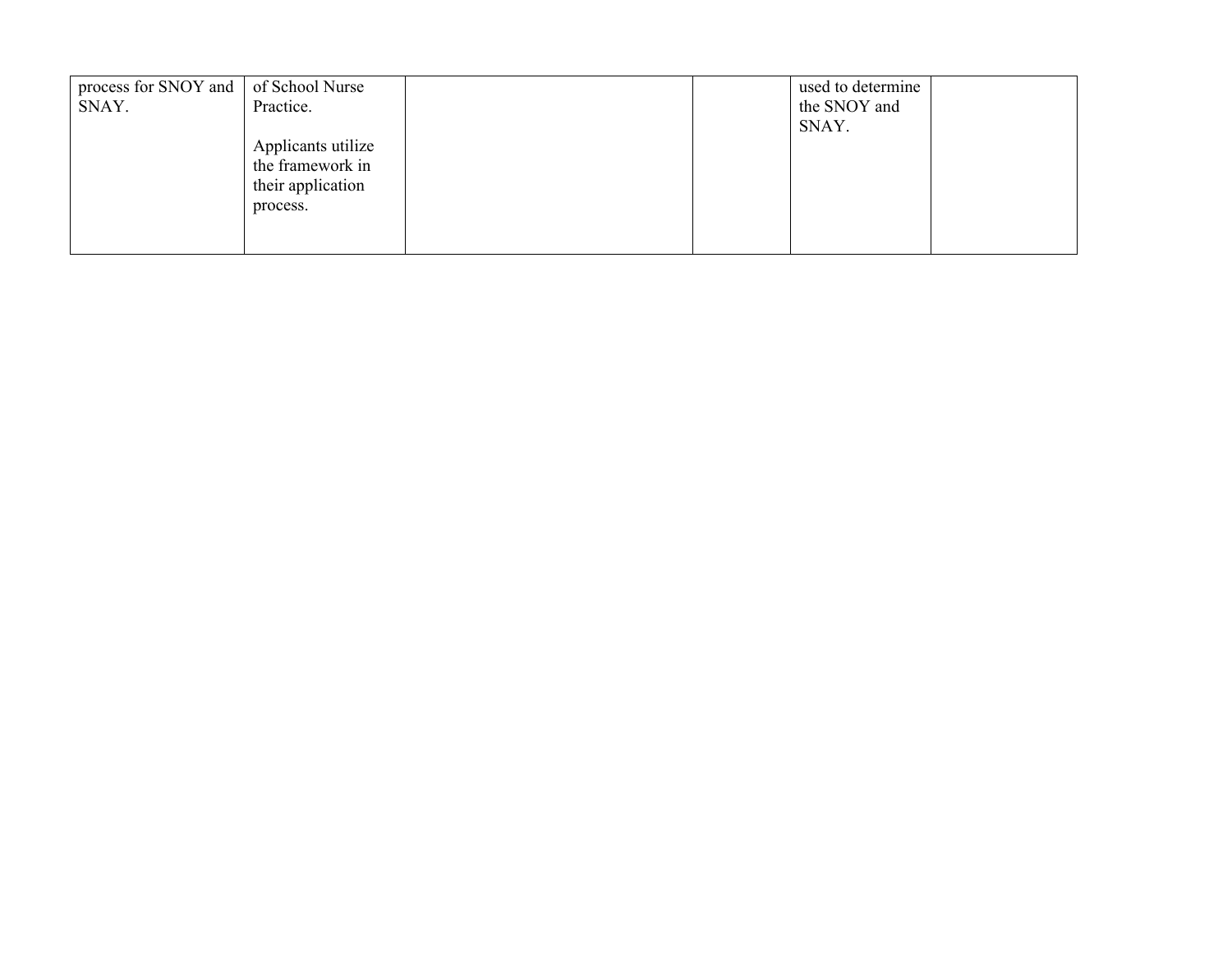| process for SNOY and   of School Nurse |                    |  | used to determine |  |
|----------------------------------------|--------------------|--|-------------------|--|
| SNAY.                                  | Practice.          |  | the SNOY and      |  |
|                                        |                    |  | SNAY.             |  |
|                                        | Applicants utilize |  |                   |  |
|                                        | the framework in   |  |                   |  |
|                                        | their application  |  |                   |  |
|                                        | process.           |  |                   |  |
|                                        |                    |  |                   |  |
|                                        |                    |  |                   |  |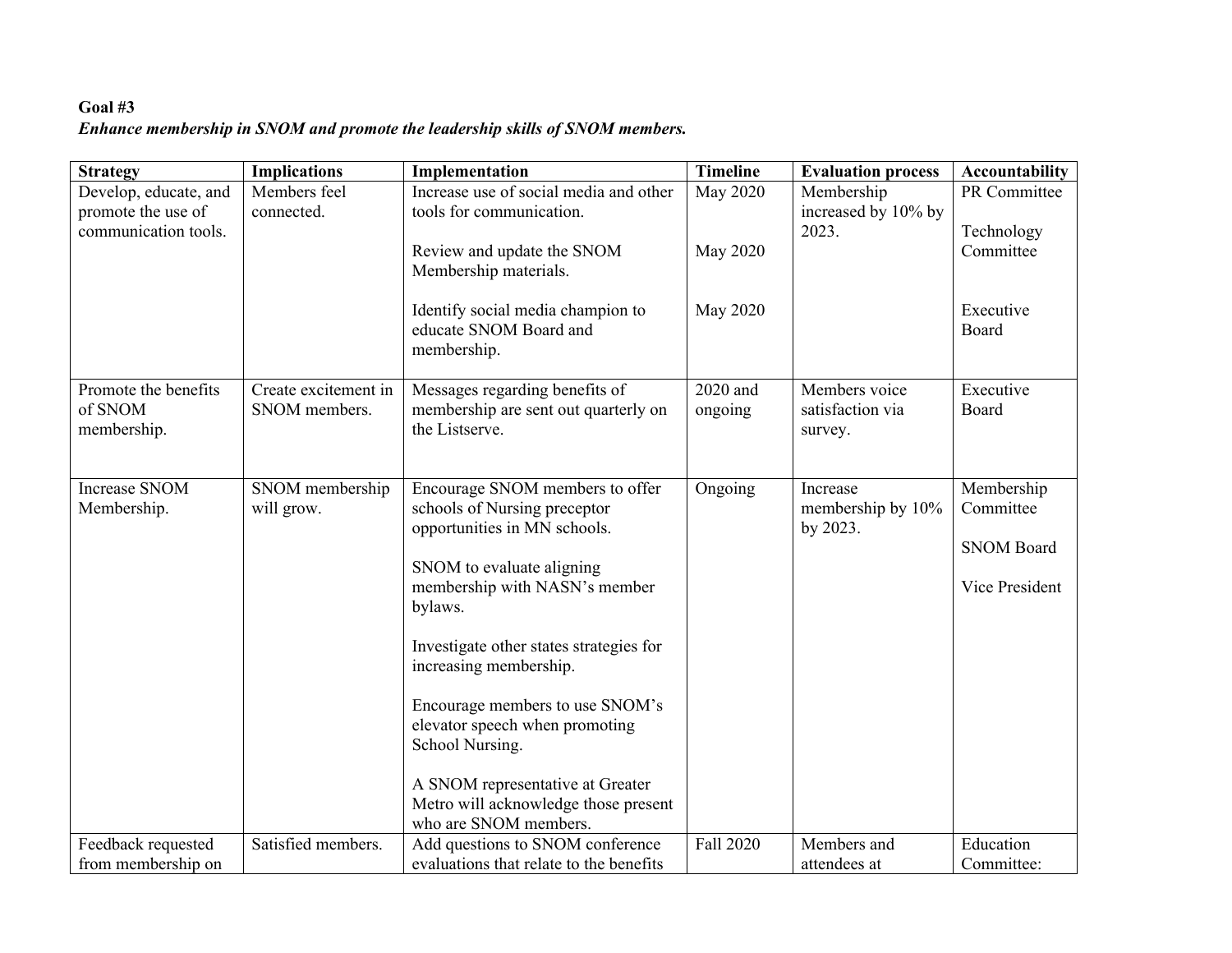# **Goal #3** *Enhance membership in SNOM and promote the leadership skills of SNOM members.*

| <b>Strategy</b>       | <b>Implications</b>  | Implementation                                              | <b>Timeline</b> | <b>Evaluation process</b>     | Accountability     |
|-----------------------|----------------------|-------------------------------------------------------------|-----------------|-------------------------------|--------------------|
| Develop, educate, and | Members feel         | Increase use of social media and other                      | <b>May 2020</b> | Membership                    | PR Committee       |
| promote the use of    | connected.           | tools for communication.                                    |                 | increased by 10% by           |                    |
| communication tools.  |                      |                                                             |                 | 2023.                         | Technology         |
|                       |                      | Review and update the SNOM                                  | May 2020        |                               | Committee          |
|                       |                      | Membership materials.                                       |                 |                               |                    |
|                       |                      |                                                             |                 |                               |                    |
|                       |                      | Identify social media champion to<br>educate SNOM Board and | May 2020        |                               | Executive<br>Board |
|                       |                      | membership.                                                 |                 |                               |                    |
|                       |                      |                                                             |                 |                               |                    |
| Promote the benefits  | Create excitement in | Messages regarding benefits of                              | 2020 and        | Members voice                 | Executive          |
| of SNOM               | SNOM members.        | membership are sent out quarterly on                        | ongoing         | satisfaction via              | Board              |
| membership.           |                      | the Listserve.                                              |                 | survey.                       |                    |
|                       |                      |                                                             |                 |                               |                    |
|                       |                      |                                                             |                 |                               |                    |
| <b>Increase SNOM</b>  | SNOM membership      | Encourage SNOM members to offer                             | Ongoing         | Increase                      | Membership         |
| Membership.           | will grow.           | schools of Nursing preceptor                                |                 | membership by 10%<br>by 2023. | Committee          |
|                       |                      | opportunities in MN schools.                                |                 |                               | <b>SNOM Board</b>  |
|                       |                      | SNOM to evaluate aligning                                   |                 |                               |                    |
|                       |                      | membership with NASN's member                               |                 |                               | Vice President     |
|                       |                      | bylaws.                                                     |                 |                               |                    |
|                       |                      |                                                             |                 |                               |                    |
|                       |                      | Investigate other states strategies for                     |                 |                               |                    |
|                       |                      | increasing membership.                                      |                 |                               |                    |
|                       |                      |                                                             |                 |                               |                    |
|                       |                      | Encourage members to use SNOM's                             |                 |                               |                    |
|                       |                      | elevator speech when promoting                              |                 |                               |                    |
|                       |                      | School Nursing.                                             |                 |                               |                    |
|                       |                      | A SNOM representative at Greater                            |                 |                               |                    |
|                       |                      | Metro will acknowledge those present                        |                 |                               |                    |
|                       |                      | who are SNOM members.                                       |                 |                               |                    |
| Feedback requested    | Satisfied members.   | Add questions to SNOM conference                            | Fall 2020       | Members and                   | Education          |
| from membership on    |                      | evaluations that relate to the benefits                     |                 | attendees at                  | Committee:         |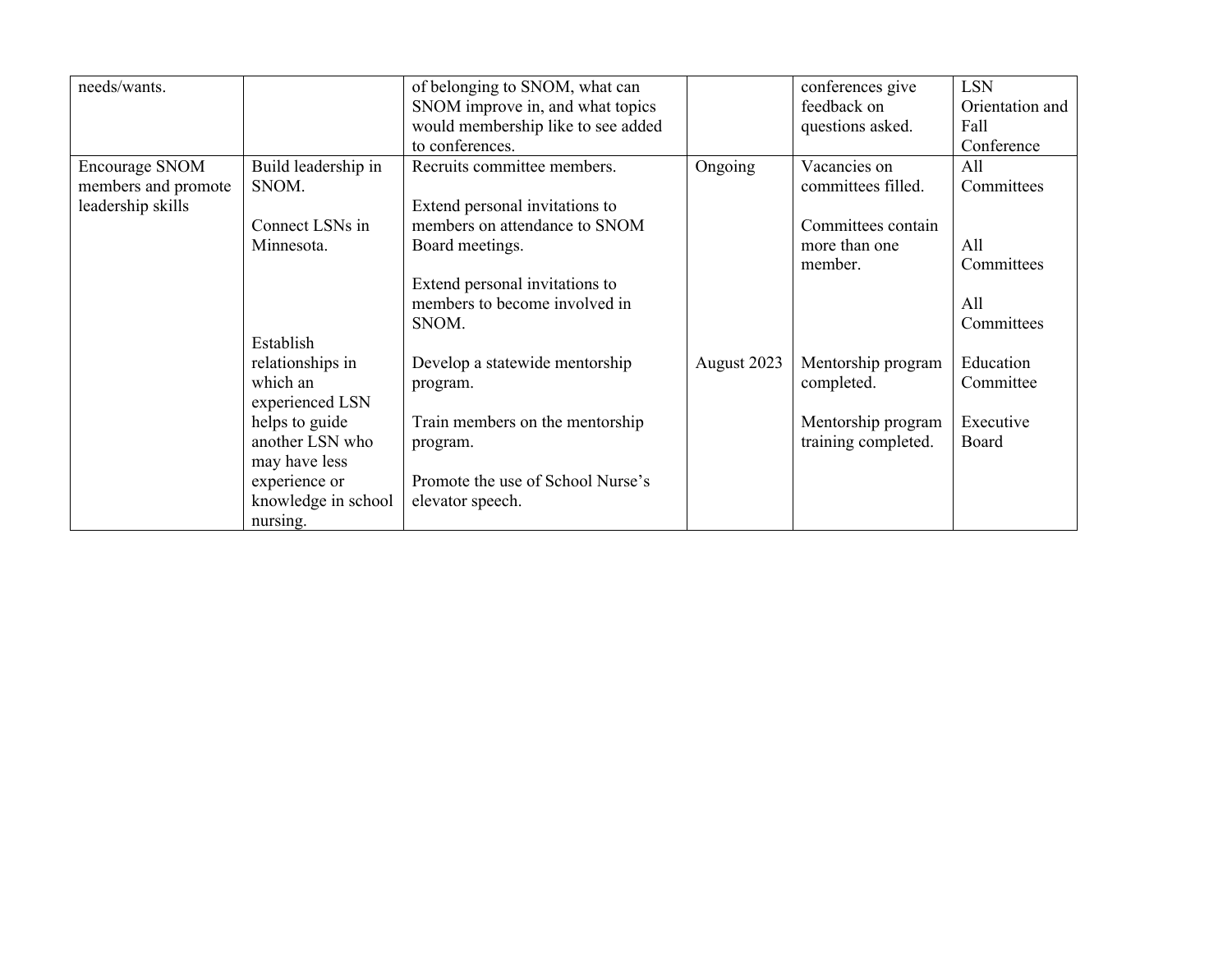| needs/wants.          |                     | of belonging to SNOM, what can     |             | conferences give    | <b>LSN</b>      |
|-----------------------|---------------------|------------------------------------|-------------|---------------------|-----------------|
|                       |                     | SNOM improve in, and what topics   |             | feedback on         | Orientation and |
|                       |                     | would membership like to see added |             | questions asked.    | Fall            |
|                       |                     | to conferences.                    |             |                     | Conference      |
| <b>Encourage SNOM</b> | Build leadership in | Recruits committee members.        | Ongoing     | Vacancies on        | All             |
| members and promote   | SNOM.               |                                    |             | committees filled.  | Committees      |
| leadership skills     |                     | Extend personal invitations to     |             |                     |                 |
|                       | Connect LSNs in     | members on attendance to SNOM      |             | Committees contain  |                 |
|                       | Minnesota.          | Board meetings.                    |             | more than one       | All             |
|                       |                     |                                    |             | member.             | Committees      |
|                       |                     | Extend personal invitations to     |             |                     |                 |
|                       |                     | members to become involved in      |             |                     | All             |
|                       |                     | SNOM.                              |             |                     | Committees      |
|                       | Establish           |                                    |             |                     |                 |
|                       | relationships in    | Develop a statewide mentorship     | August 2023 | Mentorship program  | Education       |
|                       | which an            | program.                           |             | completed.          | Committee       |
|                       | experienced LSN     |                                    |             |                     |                 |
|                       | helps to guide      | Train members on the mentorship    |             | Mentorship program  | Executive       |
|                       | another LSN who     | program.                           |             | training completed. | Board           |
|                       | may have less       |                                    |             |                     |                 |
|                       | experience or       | Promote the use of School Nurse's  |             |                     |                 |
|                       | knowledge in school | elevator speech.                   |             |                     |                 |
|                       | nursing.            |                                    |             |                     |                 |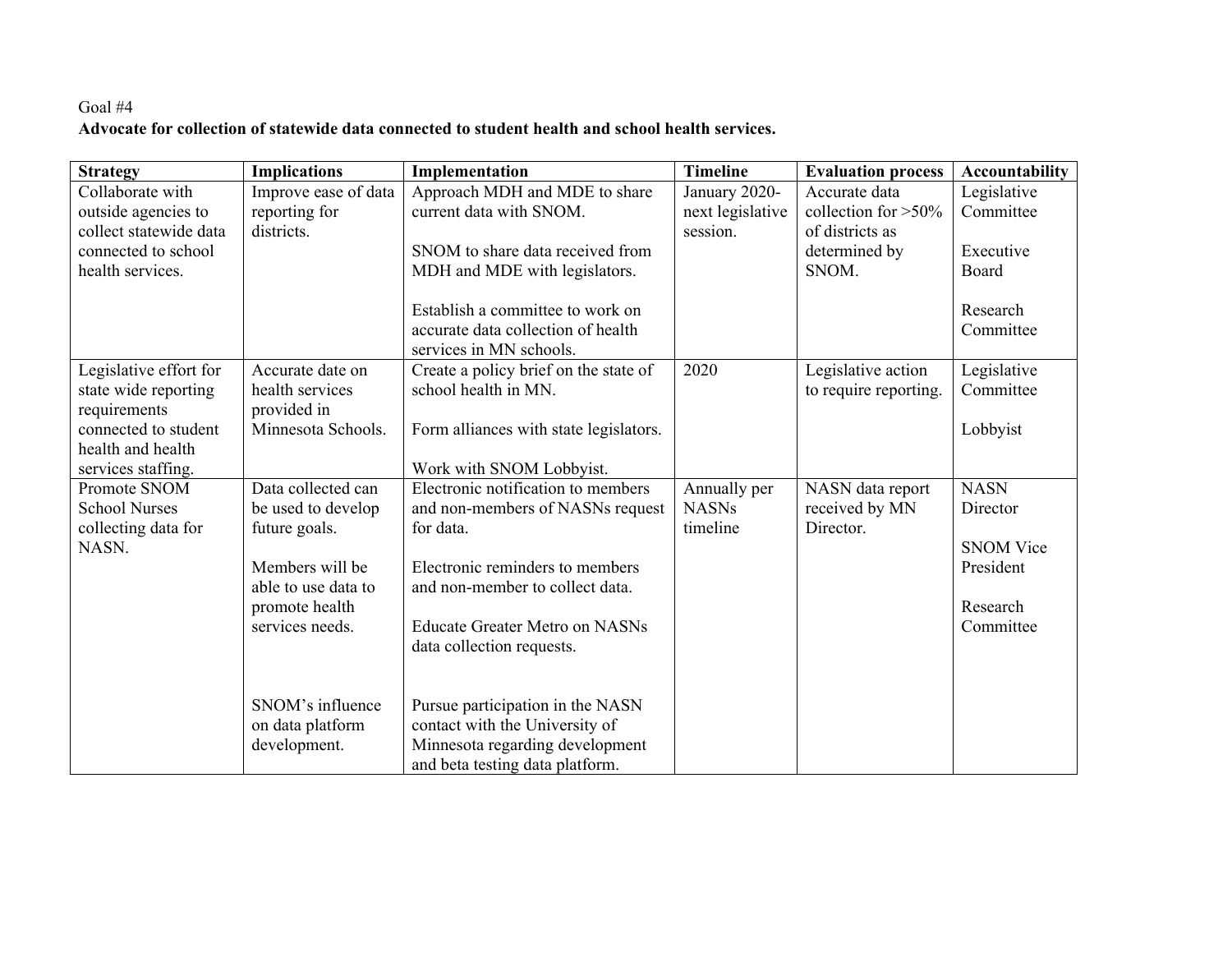# Goal #4 **Advocate for collection of statewide data connected to student health and school health services.**

| <b>Strategy</b>        | <b>Implications</b>  | Implementation                         | <b>Timeline</b>  | <b>Evaluation process</b> | Accountability   |
|------------------------|----------------------|----------------------------------------|------------------|---------------------------|------------------|
| Collaborate with       | Improve ease of data | Approach MDH and MDE to share          | January 2020-    | Accurate data             | Legislative      |
| outside agencies to    | reporting for        | current data with SNOM.                | next legislative | collection for $>50\%$    | Committee        |
| collect statewide data | districts.           |                                        | session.         | of districts as           |                  |
| connected to school    |                      | SNOM to share data received from       |                  | determined by             | Executive        |
| health services.       |                      | MDH and MDE with legislators.          |                  | SNOM.                     | Board            |
|                        |                      | Establish a committee to work on       |                  |                           | Research         |
|                        |                      | accurate data collection of health     |                  |                           | Committee        |
|                        |                      | services in MN schools.                |                  |                           |                  |
| Legislative effort for | Accurate date on     | Create a policy brief on the state of  | 2020             | Legislative action        | Legislative      |
| state wide reporting   | health services      | school health in MN.                   |                  | to require reporting.     | Committee        |
| requirements           | provided in          |                                        |                  |                           |                  |
| connected to student   | Minnesota Schools.   | Form alliances with state legislators. |                  |                           | Lobbyist         |
| health and health      |                      |                                        |                  |                           |                  |
| services staffing.     |                      | Work with SNOM Lobbyist.               |                  |                           |                  |
| Promote SNOM           | Data collected can   | Electronic notification to members     | Annually per     | NASN data report          | <b>NASN</b>      |
| <b>School Nurses</b>   | be used to develop   | and non-members of NASNs request       | <b>NASNs</b>     | received by MN            | Director         |
| collecting data for    | future goals.        | for data.                              | timeline         | Director.                 |                  |
| NASN.                  |                      |                                        |                  |                           | <b>SNOM Vice</b> |
|                        | Members will be      | Electronic reminders to members        |                  |                           | President        |
|                        | able to use data to  | and non-member to collect data.        |                  |                           |                  |
|                        | promote health       |                                        |                  |                           | Research         |
|                        | services needs.      | <b>Educate Greater Metro on NASNs</b>  |                  |                           | Committee        |
|                        |                      | data collection requests.              |                  |                           |                  |
|                        |                      |                                        |                  |                           |                  |
|                        | SNOM's influence     | Pursue participation in the NASN       |                  |                           |                  |
|                        | on data platform     | contact with the University of         |                  |                           |                  |
|                        | development.         | Minnesota regarding development        |                  |                           |                  |
|                        |                      | and beta testing data platform.        |                  |                           |                  |